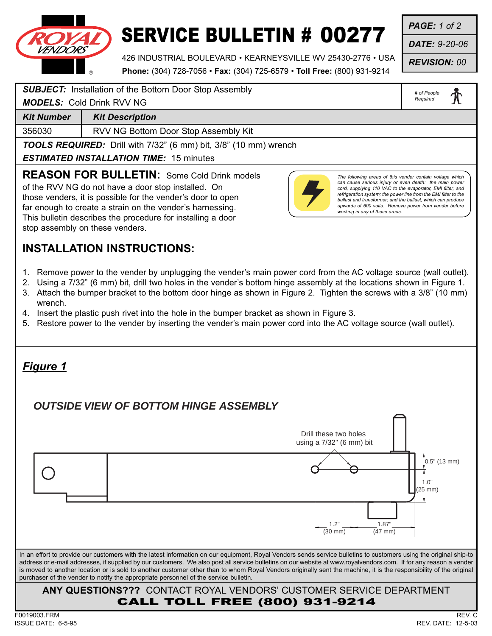

# SERVICE BULLETIN # 00277

*PAGE: 1 of 2*

*DATE: 9-20-06*

*REVISION: 00*

426 INDUSTRIAL BOULEVARD • KEARNEYSVILLE WV 25430-2776 • USA **Phone:** (304) 728-7056 • **Fax:** (304) 725-6579 • **Toll Free:** (800) 931-9214

*# of People* 

#### **SUBJECT:** Installation of the Bottom Door Stop Assembly

*MODELS:* Cold Drink RVV NG

**Kit Number | Kit Description** 

356030 RVV NG Bottom Door Stop Assembly Kit

*TOOLS REQUIRED:* Drill with 7/32" (6 mm) bit, 3/8" (10 mm) wrench

*ESTIMATED INSTALLATION TIME:* 15 minutes

**REASON FOR BULLETIN:** Some Cold Drink models

of the RVV NG do not have a door stop installed. On those venders, it is possible for the vender's door to open far enough to create a strain on the vender's harnessing. This bulletin describes the procedure for installing a door stop assembly on these venders.

### **INSTALLATION INSTRUCTIONS:**

- 1. Remove power to the vender by unplugging the vender's main power cord from the AC voltage source (wall outlet).
- 2. Using a 7/32" (6 mm) bit, drill two holes in the vender's bottom hinge assembly at the locations shown in Figure 1.
- 3. Attach the bumper bracket to the bottom door hinge as shown in Figure 2. Tighten the screws with a 3/8" (10 mm) wrench.
- 4. Insert the plastic push rivet into the hole in the bumper bracket as shown in Figure 3.
- 5. Restore power to the vender by inserting the vender's main power cord into the AC voltage source (wall outlet).

#### **ANY QUESTIONS???** CONTACT ROYAL VENDORS' CUSTOMER SERVICE DEPARTMENT CALL TOLL FREE (800) 931-9214 In an effort to provide our customers with the latest information on our equipment, Royal Vendors sends service bulletins to customers using the original ship-to address or e-mail addresses, if supplied by our customers. We also post all service bulletins on our website at www.royalvendors.com. If for any reason a vender is moved to another location or is sold to another customer other than to whom Royal Vendors originally sent the machine, it is the responsibility of the original purchaser of the vender to notify the appropriate personnel of the service bulletin. *Figure 1*  $[0.5" (13 mm)$ 1.0" (25 mm) 1.87" (47 mm) 1.2" (30 mm) **OUTSIDE VIEW OF BOTTOM HINGE ASSEMBLY** Drill these two holes using a 7/32" (6 mm) bit

#### F0019003.FRM REV. C ISSUE DATE: 6-5-95 REV. DATE: 12-5-03



*Required*

*The following areas of this vender contain voltage which can cause serious injury or even death: the main power cord, supplying 110 VAC to the evaporator, EMI filter, and refrigeration system; the power line from the EMI filter to the ballast and transformer; and the ballast, which can produce upwards of 600 volts. Remove power from vender before*

*working in any of these areas.*